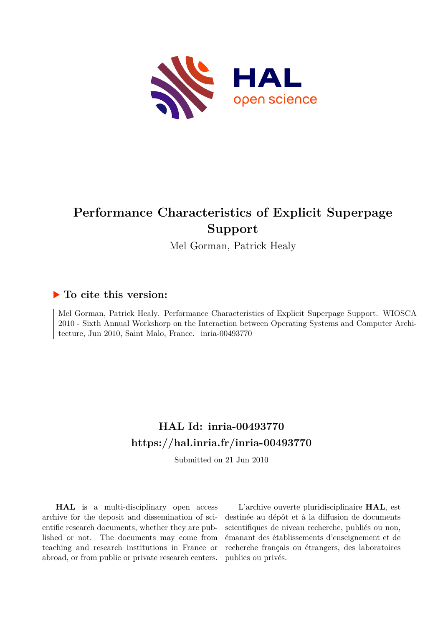

# **Performance Characteristics of Explicit Superpage Support**

Mel Gorman, Patrick Healy

# **To cite this version:**

Mel Gorman, Patrick Healy. Performance Characteristics of Explicit Superpage Support. WIOSCA 2010 - Sixth Annual Workshorp on the Interaction between Operating Systems and Computer Architecture, Jun 2010, Saint Malo, France. inria-00493770

# **HAL Id: inria-00493770 <https://hal.inria.fr/inria-00493770>**

Submitted on 21 Jun 2010

**HAL** is a multi-disciplinary open access archive for the deposit and dissemination of scientific research documents, whether they are published or not. The documents may come from teaching and research institutions in France or abroad, or from public or private research centers.

L'archive ouverte pluridisciplinaire **HAL**, est destinée au dépôt et à la diffusion de documents scientifiques de niveau recherche, publiés ou non, émanant des établissements d'enseignement et de recherche français ou étrangers, des laboratoires publics ou privés.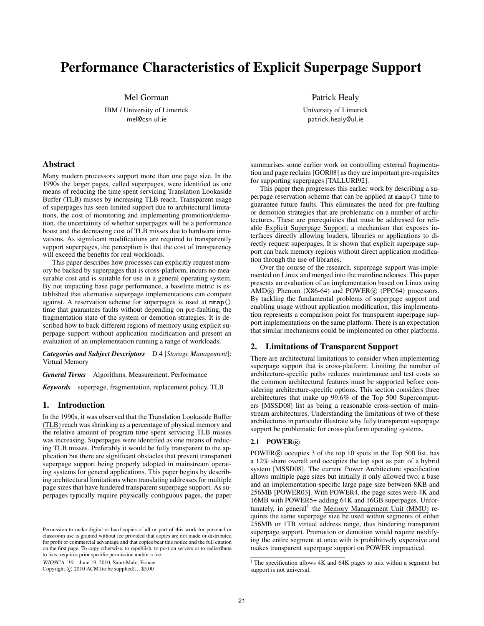# Performance Characteristics of Explicit Superpage Support

Mel Gorman

IBM / University of Limerick mel@csn.ul.ie

Patrick Healy

University of Limerick patrick.healy@ul.ie

# Abstract

Many modern processors support more than one page size. In the 1990s the larger pages, called superpages, were identified as one means of reducing the time spent servicing Translation Lookaside Buffer (TLB) misses by increasing TLB reach. Transparent usage of superpages has seen limited support due to architectural limitations, the cost of monitoring and implementing promotion/demotion, the uncertainity of whether superpages will be a performance boost and the decreasing cost of TLB misses due to hardware innovations. As significant modifications are required to transparently support superpages, the perception is that the cost of transparency will exceed the benefits for real workloads.

This paper describes how processes can explicitly request memory be backed by superpages that is cross-platform, incurs no measurable cost and is suitable for use in a general operating system. By not impacting base page performance, a baseline metric is established that alternative superpage implementations can compare against. A reservation scheme for superpages is used at mmap() time that guarantees faults without depending on pre-faulting, the fragmentation state of the system or demotion strategies. It is described how to back different regions of memory using explicit superpage support without application modification and present an evaluation of an implementation running a range of workloads.

*Categories and Subject Descriptors* D.4 [*Storage Management*]: Virtual Memory

*General Terms* Algorithms, Measurement, Performance

*Keywords* superpage, fragmentation, replacement policy, TLB

# 1. Introduction

In the 1990s, it was observed that the Translation Lookaside Buffer (TLB) reach was shrinking as a percentage of physical memory and the relative amount of program time spent servicing TLB misses was increasing. Superpages were identified as one means of reducing TLB misses. Preferably it would be fully transparent to the application but there are significant obstacles that prevent transparent superpage support being properly adopted in mainstream operating systems for general applications. This paper begins by describing architectural limitations when translating addresses for multiple page sizes that have hindered transparent superpage support. As superpages typically require physically contiguous pages, the paper

WIOSCA '10 June 19, 2010, Saint-Malo, France.

Copyright  $\odot$  2010 ACM [to be supplied]...\$5.00

summarises some earlier work on controlling external fragmentation and page reclaim [GOR08] as they are important pre-requisites for supporting superpages [TALLURI92].

This paper then progresses this earlier work by describing a superpage reservation scheme that can be applied at mmap() time to guarantee future faults. This eliminates the need for pre-faulting or demotion strategies that are problematic on a number of architectures. These are prerequisites that must be addressed for reliable Explicit Superpage Support; a mechanism that exposes interfaces directly allowing loaders, libraries or applications to directly request superpages. It is shown that explicit superpage support can back memory regions without direct application modification through the use of libraries.

Over the course of the research, superpage support was implemented on Linux and merged into the mainline releases. This paper presents an evaluation of an implementation based on Linux using AMD® Phenom (X86-64) and POWER® (PPC64) processors. By tackling the fundamental problems of superpage support and enabling usage without application modification, this implementation represents a comparison point for transparent superpage support implementations on the same platform. There is an expectation that similar mechanisms could be implemented on other platforms.

# 2. Limitations of Transparent Support

There are architectural limitations to consider when implementing superpage support that is cross-platform. Limiting the number of architecture-specific paths reduces maintenance and test costs so the common architectural features must be supported before considering architecture-specific options. This section considers three architectures that make up 99.6% of the Top 500 Supercomputers [MSSD08] list as being a reasonable cross-section of mainstream architectures. Understanding the limitations of two of these architectures in particular illustrate why fully transparent superpage support be problematic for cross-platform operating systems.

# 2.1 POWER <sup>R</sup>

POWER $(R)$  occupies 3 of the top 10 spots in the Top 500 list, has a 12% share overall and occupies the top spot as part of a hybrid system [MSSD08]. The current Power Architecture specification allows multiple page sizes but initially it only allowed two; a base and an implementation-specific large page size between 8KB and 256MB [POWER03]. With POWER4, the page sizes were 4K and 16MB with POWER5+ adding 64K and 16GB superpages. Unfortunately, in general<sup>1</sup> the Memory Management Unit (MMU) requires the same superpage size be used within segments of either 256MB or 1TB virtual address range, thus hindering transparent superpage support. Promotion or demotion would require modifying the entire segment at once with is prohibitively expensive and makes transparent superpage support on POWER impractical.

Permission to make digital or hard copies of all or part of this work for personal or classroom use is granted without fee provided that copies are not made or distributed for profit or commercial advantage and that copies bear this notice and the full citation on the first page. To copy otherwise, to republish, to post on servers or to redistribute to lists, requires prior specific permission and/or a fee.

 $1$  The specification allows 4K and 64K pages to mix within a segment but support is not universal.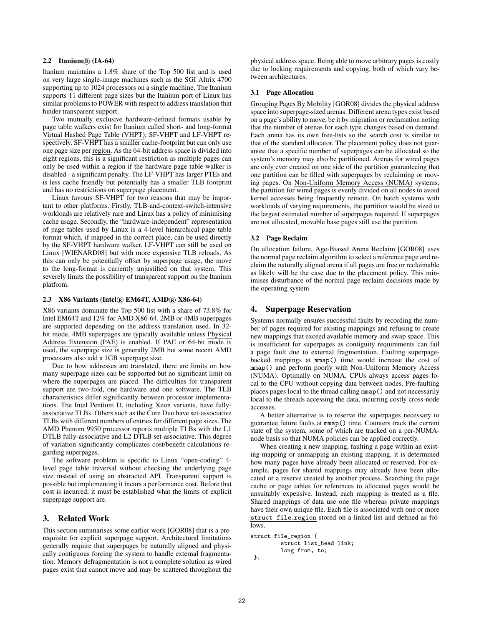# 2.2 Itanium <sup>R</sup> (IA-64)

Itanium maintains a 1.8% share of the Top 500 list and is used on very large single-image machines such as the SGI Altrix 4700 supporting up to 1024 processors on a single machine. The Itanium supports 11 different page sizes but the Itanium port of Linux has similar problems to POWER with respect to address translation that hinder transparent support.

Two mutually exclusive hardware-defined formats usable by page table walkers exist for Itanium called short- and long-format Virtual Hashed Page Table (VHPT); SF-VHPT and LF-VHPT respectively. SF-VHPT has a smaller cache-footprint but can only use one page size per region. As the 64-bit address space is divided into eight regions, this is a significant restriction as multiple pages can only be used within a region if the hardware page table walker is disabled - a significant penalty. The LF-VHPT has larger PTEs and is less cache friendly but potentially has a smaller TLB footprint and has no restrictions on superpage placement.

Linux favours SF-VHPT for two reasons that may be important to other platforms. Firstly, TLB-and-context-switch-intensive workloads are relatively rare and Linux has a policy of minimising cache usage. Secondly, the "hardware-independent" representation of page tables used by Linux is a 4-level hierarchical page table format which, if mapped in the correct place, can be used directly by the SF-VHPT hardware walker. LF-VHPT can still be used on Linux [WIENARD08] but with more expensive TLB reloads. As this can only be potentially offset by superpage usage, the move to the long-format is currently unjustified on that system. This severely limits the possibility of transparent support on the Itanium platform.

#### 2.3 X86 Variants (Intel® EM64T, AMD®) X86-64)

X86 variants dominate the Top 500 list with a share of 73.8% for Intel EM64T and 12% for AMD X86-64. 2MB or 4MB superpages are supported depending on the address translation used. In 32 bit mode, 4MB superpages are typically available unless Physical Address Extension (PAE) is enabled. If PAE or 64-bit mode is used, the superpage size is generally 2MB but some recent AMD processors also add a 1GB superpage size.

Due to how addresses are translated, there are limits on how many superpage sizes can be supported but no significant limit on where the superpages are placed. The difficulties for transparent support are two-fold, one hardware and one software. The TLB characteristics differ significantly between processor implementations. The Intel Pentium D, including Xeon variants, have fullyassociative TLBs. Others such as the Core Duo have set-associative TLBs with different numbers of entries for different page sizes. The AMD Phenom 9950 processor reports multiple TLBs with the L1 DTLB fully-associative and L2 DTLB set-associative. This degree of variation significantly complicates cost/benefit calculations regarding superpages.

The software problem is specific to Linux "open-coding" 4 level page table traversal without checking the underlying page size instead of using an abstracted API. Transparent support is possible but implementing it incurs a performance cost. Before that cost is incurred, it must be established what the limits of explicit superpage support are.

## 3. Related Work

This section summarises some earlier work [GOR08] that is a prerequisite for explicit superpage support. Architectural limitations generally require that superpages be naturally aligned and physically contiguous forcing the system to handle external fragmentation. Memory defragmentation is not a complete solution as wired pages exist that cannot move and may be scattered throughout the

physical address space. Being able to move arbitrary pages is costly due to locking requirements and copying, both of which vary between architectures.

#### 3.1 Page Allocation

Grouping Pages By Mobility [GOR08] divides the physical address space into superpage-sized arenas. Different arena types exist based on a page's ability to move, be it by migration or reclamation noting that the number of arenas for each type changes based on demand. Each arena has its own free-lists so the search cost is similar to that of the standard allocator. The placement policy does not guarantee that a specific number of superpages can be allocated so the system's memory may also be partitioned. Arenas for wired pages are only ever created on one side of the partition guaranteeing that one partition can be filled with superpages by reclaiming or moving pages. On Non-Uniform Memory Access (NUMA) systems, the partition for wired pages is evenly divided on all nodes to avoid kernel accesses being frequently remote. On batch systems with workloads of varying requirements, the partition would be sized to the largest estimated number of superpages required. If superpages are not allocated, movable base pages still use the partition.

#### 3.2 Page Reclaim

On allocation failure, Age-Biased Arena Reclaim [GOR08] uses the normal page reclaim algorithm to select a reference page and reclaim the naturally aligned arena if all pages are free or reclaimable as likely will be the case due to the placement policy. This minimises disturbance of the normal page reclaim decisions made by the operating system

# 4. Superpage Reservation

Systems normally ensures successful faults by recording the number of pages required for existing mappings and refusing to create new mappings that exceed available memory and swap space. This is insufficient for superpages as contiguity requirements can fail a page fault due to external fragmentation. Faulting superpagebacked mappings at mmap() time would increase the cost of mmap() and perform poorly with Non-Uniform Memory Access (NUMA). Optimally on NUMA, CPUs always access pages local to the CPU without copying data between nodes. Pre-faulting places pages local to the thread calling mmap() and not necessarily local to the threads accessing the data, incurring costly cross-node accesses.

A better alternative is to reserve the superpages necessary to guarantee future faults at mmap() time. Counters track the current state of the system, some of which are tracked on a per-NUMAnode basis so that NUMA policies can be applied correctly.

When creating a new mapping, faulting a page within an existing mapping or unmapping an existing mapping, it is determined how many pages have already been allocated or reserved. For example, pages for shared mappings may already have been allocated or a reserve created by another process. Searching the page cache or page tables for references to allocated pages would be unsuitably expensive. Instead, each mapping is treated as a file. Shared mappings of data use one file whereas private mappings have their own unique file. Each file is associated with one or more struct file region stored on a linked list and defined as follows.

```
struct file_region {
         struct list_head link;
         long from, to;
};
```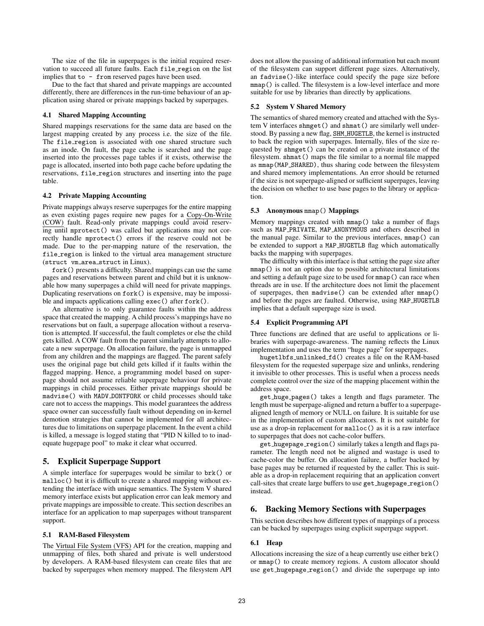The size of the file in superpages is the initial required reservation to succeed all future faults. Each file region on the list implies that to - from reserved pages have been used.

Due to the fact that shared and private mappings are accounted differently, there are differences in the run-time behaviour of an application using shared or private mappings backed by superpages.

#### 4.1 Shared Mapping Accounting

Shared mappings reservations for the same data are based on the largest mapping created by any process i.e. the size of the file. The file region is associated with one shared structure such as an inode. On fault, the page cache is searched and the page inserted into the processes page tables if it exists, otherwise the page is allocated, inserted into both page cache before updating the reservations, file region structures and inserting into the page table.

#### 4.2 Private Mapping Accounting

Private mappings always reserve superpages for the entire mapping as even existing pages require new pages for a Copy-On-Write (COW) fault. Read-only private mappings could avoid reserving until mprotect() was called but applications may not correctly handle mprotect() errors if the reserve could not be made. Due to the per-mapping nature of the reservation, the file region is linked to the virtual area management structure (struct vm area struct in Linux).

fork() presents a difficulty. Shared mappings can use the same pages and reservations between parent and child but it is unknowable how many superpages a child will need for private mappings. Duplicating reservations on fork() is expensive, may be impossible and impacts applications calling exec() after fork().

An alternative is to only guarantee faults within the address space that created the mapping. A child process's mappings have no reservations but on fault, a superpage allocation without a reservation is attempted. If successful, the fault completes or else the child gets killed. A COW fault from the parent similarly attempts to allocate a new superpage. On allocation failure, the page is unmapped from any children and the mappings are flagged. The parent safely uses the original page but child gets killed if it faults within the flagged mapping. Hence, a programming model based on superpage should not assume reliable superpage behaviour for private mappings in child processes. Either private mappings should be madvise() with MADV DONTFORK or child processes should take care not to access the mappings. This model guarantees the address space owner can successfully fault without depending on in-kernel demotion strategies that cannot be implemented for all architectures due to limitations on superpage placement. In the event a child is killed, a message is logged stating that "PID N killed to to inadequate hugepage pool" to make it clear what occurred.

# 5. Explicit Superpage Support

A simple interface for superpages would be similar to brk() or malloc() but it is difficult to create a shared mapping without extending the interface with unique semantics. The System V shared memory interface exists but application error can leak memory and private mappings are impossible to create. This section describes an interface for an application to map superpages without transparent support.

#### 5.1 RAM-Based Filesystem

The Virtual File System (VFS) API for the creation, mapping and unmapping of files, both shared and private is well understood by developers. A RAM-based filesystem can create files that are backed by superpages when memory mapped. The filesystem API does not allow the passing of additional information but each mount of the filesystem can support different page sizes. Alternatively, an fadvise()-like interface could specify the page size before mmap() is called. The filesystem is a low-level interface and more suitable for use by libraries than directly by applications.

#### 5.2 System V Shared Memory

The semantics of shared memory created and attached with the System V interfaces shmget() and shmat() are similarly well understood. By passing a new flag, SHM HUGETLB, the kernel is instructed to back the region with superpages. Internally, files of the size requested by shmget() can be created on a private instance of the filesystem. shmat() maps the file similar to a normal file mapped as mmap(MAP SHARED), thus sharing code between the filesystem and shared memory implementations. An error should be returned if the size is not superpage-aligned or sufficient superpages, leaving the decision on whether to use base pages to the library or application.

#### 5.3 Anonymous mmap() Mappings

Memory mappings created with mmap() take a number of flags such as MAP PRIVATE, MAP ANONYMOUS and others described in the manual page. Similar to the previous interfaces, mmap() can be extended to support a MAP HUGETLB flag which automatically backs the mapping with superpages.

The difficulty with this interface is that setting the page size after mmap() is not an option due to possible architectural limitations and setting a default page size to be used for mmap() can race when threads are in use. If the architecture does not limit the placement of superpages, then madvise() can be extended after mmap() and before the pages are faulted. Otherwise, using MAP HUGETLB implies that a default superpage size is used.

#### 5.4 Explicit Programming API

Three functions are defined that are useful to applications or libraries with superpage-awareness. The naming reflects the Linux implementation and uses the term "huge page" for superpages.

hugetlbfs unlinked fd() creates a file on the RAM-based filesystem for the requested superpage size and unlinks, rendering it invisible to other processes. This is useful when a process needs complete control over the size of the mapping placement within the address space.

get huge pages() takes a length and flags parameter. The length must be superpage-aligned and return a buffer to a superpagealigned length of memory or NULL on failure. It is suitable for use in the implementation of custom allocators. It is not suitable for use as a drop-in replacement for malloc() as it is a raw interface to superpages that does not cache-color buffers.

get hugepage region() similarly takes a length and flags parameter. The length need not be aligned and wastage is used to cache-color the buffer. On allocation failure, a buffer backed by base pages may be returned if requested by the caller. This is suitable as a drop-in replacement requiring that an application convert call-sites that create large buffers to use get hugepage region() instead.

## 6. Backing Memory Sections with Superpages

This section describes how different types of mappings of a process can be backed by superpages using explicit superpage support.

# 6.1 Heap

Allocations increasing the size of a heap currently use either brk() or mmap() to create memory regions. A custom allocator should use get\_hugepage\_region() and divide the superpage up into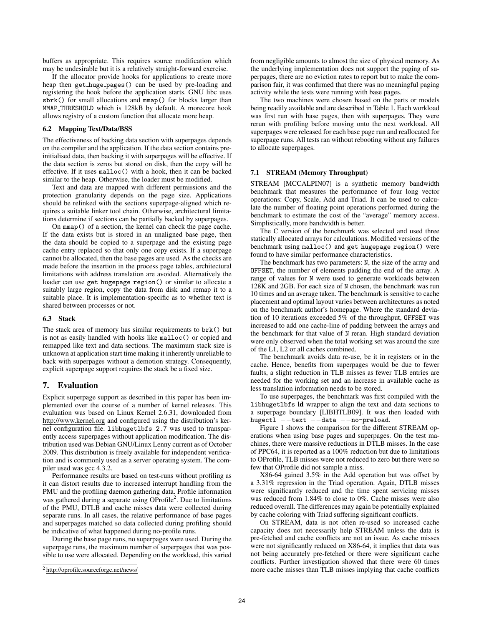buffers as appropriate. This requires source modification which may be undesirable but it is a relatively straight-forward exercise.

If the allocator provide hooks for applications to create more heap then get huge pages() can be used by pre-loading and registering the hook before the application starts. GNU libc uses sbrk() for small allocations and mmap() for blocks larger than MMAP THRESHOLD which is 128kB by default. A morecore hook allows registry of a custom function that allocate more heap.

# 6.2 Mapping Text/Data/BSS

The effectiveness of backing data section with superpages depends on the compiler and the application. If the data section contains preinitialised data, then backing it with superpages will be effective. If the data section is zeros but stored on disk, then the copy will be effective. If it uses malloc() with a hook, then it can be backed similar to the heap. Otherwise, the loader must be modified.

Text and data are mapped with different permissions and the protection granularity depends on the page size. Applications should be relinked with the sections superpage-aligned which requires a suitable linker tool chain. Otherwise, architectural limitations determine if sections can be partially backed by superpages.

On mmap() of a section, the kernel can check the page cache. If the data exists but is stored in an unaligned base page, then the data should be copied to a superpage and the existing page cache entry replaced so that only one copy exists. If a superpage cannot be allocated, then the base pages are used. As the checks are made before the insertion in the process page tables, architectural limitations with address translation are avoided. Alternatively the loader can use get\_hugepage\_region() or similar to allocate a suitably large region, copy the data from disk and remap it to a suitable place. It is implementation-specific as to whether text is shared between processes or not.

#### 6.3 Stack

The stack area of memory has similar requirements to brk() but is not as easily handled with hooks like malloc() or copied and remapped like text and data sections. The maximum stack size is unknown at application start time making it inherently unreliable to back with superpages without a demotion strategy. Consequently, explicit superpage support requires the stack be a fixed size.

#### 7. Evaluation

Explicit superpage support as described in this paper has been implemented over the course of a number of kernel releases. This evaluation was based on Linux Kernel 2.6.31, downloaded from http://www.kernel.org and configured using the distribution's kernel configuration file. libhugetlbfs 2.7 was used to transparently access superpages without application modification. The distribution used was Debian GNU/Linux Lenny current as of October 2009. This distribution is freely available for independent verification and is commonly used as a server operating system. The compiler used was gcc 4.3.2.

Performance results are based on test-runs without profiling as it can distort results due to increased interrupt handling from the PMU and the profiling daemon gathering data. Profile information was gathered during a separate using OProfile<sup>2</sup>. Due to limitations of the PMU, DTLB and cache misses data were collected during separate runs. In all cases, the relative performance of base pages and superpages matched so data collected during profiling should be indicative of what happened during no-profile runs.

During the base page runs, no superpages were used. During the superpage runs, the maximum number of superpages that was possible to use were allocated. Depending on the workload, this varied

from negligible amounts to almost the size of physical memory. As the underlying implementation does not support the paging of superpages, there are no eviction rates to report but to make the comparison fair, it was confirmed that there was no meaningful paging activity while the tests were running with base pages.

The two machines were chosen based on the parts or models being readily available and are described in Table 1. Each workload was first run with base pages, then with superpages. They were rerun with profiling before moving onto the next workload. All superpages were released for each base page run and reallocated for superpage runs. All tests ran without rebooting without any failures to allocate superpages.

#### 7.1 STREAM (Memory Throughput)

STREAM [MCCALPIN07] is a synthetic memory bandwidth benchmark that measures the performance of four long vector operations: Copy, Scale, Add and Triad. It can be used to calculate the number of floating point operations performed during the benchmark to estimate the cost of the "average" memory access. Simplistically, more bandwidth is better.

The C version of the benchmark was selected and used three statically allocated arrays for calculations. Modified versions of the benchmark using malloc() and get hugepage\_region() were found to have similar performance characteristics.

The benchmark has two parameters: N, the size of the array and OFFSET, the number of elements padding the end of the array. A range of values for N were used to generate workloads between 128K and 2GB. For each size of N chosen, the benchmark was run 10 times and an average taken. The benchmark is sensitive to cache placement and optimal layout varies between architectures as noted on the benchmark author's homepage. Where the standard deviation of 10 iterations exceeded 5% of the throughput, OFFSET was increased to add one cache-line of padding between the arrays and the benchmark for that value of N reran. High standard deviation were only observed when the total working set was around the size of the L1, L2 or all caches combined.

The benchmark avoids data re-use, be it in registers or in the cache. Hence, benefits from superpages would be due to fewer faults, a slight reduction in TLB misses as fewer TLB entries are needed for the working set and an increase in available cache as less translation information needs to be stored.

To use superpages, the benchmark was first compiled with the libhugetlbfs ld wrapper to align the text and data sections to a superpage boundary [LIBHTLB09]. It was then loaded with hugectl −−text −−data −−no-preload.

Figure 1 shows the comparison for the different STREAM operations when using base pages and superpages. On the test machines, there were massive reductions in DTLB misses. In the case of PPC64, it is reported as a 100% reduction but due to limitations to OProfile, TLB misses were not reduced to zero but there were so few that OProfile did not sample a miss.

X86-64 gained 3.5% in the Add operation but was offset by a 3.31% regression in the Triad operation. Again, DTLB misses were significantly reduced and the time spent servicing misses was reduced from 1.84% to close to 0%. Cache misses were also reduced overall. The differences may again be potentially explained by cache coloring with Triad suffering significant conflicts.

On STREAM, data is not often re-used so increased cache capacity does not necessarily help STREAM unless the data is pre-fetched and cache conflicts are not an issue. As cache misses were not significantly reduced on X86-64, it implies that data was not being accurately pre-fetched or there were significant cache conflicts. Further investigation showed that there were 60 times more cache misses than TLB misses implying that cache conflicts

<sup>2</sup> http://oprofile.sourceforge.net/news/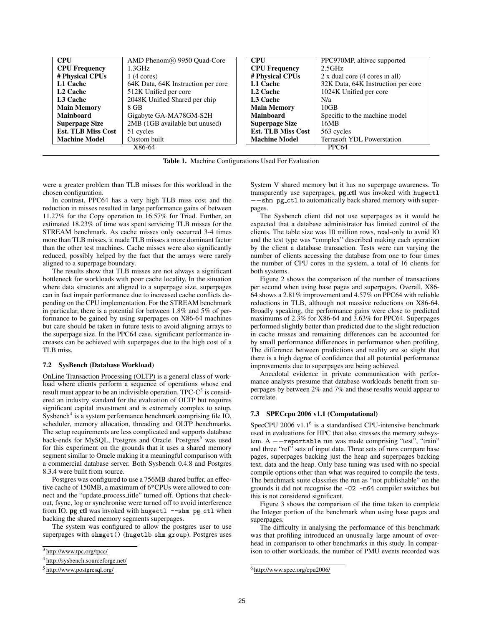| CPU                       | AMD Phenom $(\overline{R})$ 9950 Quad-Core | <b>CPU</b>                | PPC970MP, altivec supported        |
|---------------------------|--------------------------------------------|---------------------------|------------------------------------|
| <b>CPU Frequency</b>      | $1.3$ GHz                                  | <b>CPU Frequency</b>      | $2.5$ GHz                          |
| # Physical CPUs           | $1(4 \text{ cores})$                       | # Physical CPUs           | 2 x dual core (4 cores in all)     |
| L1 Cache                  | 64K Data, 64K Instruction per core         | L1 Cache                  | 32K Data, 64K Instruction per core |
| L <sub>2</sub> Cache      | 512K Unified per core                      | <b>L2 Cache</b>           | 1024K Unified per core             |
| L3 Cache                  | 2048K Unified Shared per chip              | L3 Cache                  | N/a                                |
| <b>Main Memory</b>        | 8 GB                                       | <b>Main Memory</b>        | 10GB                               |
| Mainboard                 | Gigabyte GA-MA78GM-S2H                     | Mainboard                 | Specific to the machine model      |
| <b>Superpage Size</b>     | 2MB (1GB available but unused)             | <b>Superpage Size</b>     | 16MB                               |
| <b>Est. TLB Miss Cost</b> | 51 cycles                                  | <b>Est. TLB Miss Cost</b> | 563 cycles                         |
| <b>Machine Model</b>      | Custom built                               | <b>Machine Model</b>      | <b>Terrasoft YDL Powerstation</b>  |
| X86-64                    |                                            | PPC <sub>64</sub>         |                                    |

Table 1. Machine Configurations Used For Evaluation

were a greater problem than TLB misses for this workload in the chosen configuration.

In contrast, PPC64 has a very high TLB miss cost and the reduction in misses resulted in large performance gains of between 11.27% for the Copy operation to 16.57% for Triad. Further, an estimated 18.23% of time was spent servicing TLB misses for the STREAM benchmark. As cache misses only occurred 3-4 times more than TLB misses, it made TLB misses a more dominant factor than the other test machines. Cache misses were also significantly reduced, possibly helped by the fact that the arrays were rarely aligned to a superpage boundary.

The results show that TLB misses are not always a significant bottleneck for workloads with poor cache locality. In the situation where data structures are aligned to a superpage size, superpages can in fact impair performance due to increased cache conflicts depending on the CPU implementation. For the STREAM benchmark in particular, there is a potential for between 1.8% and 5% of performance to be gained by using superpages on X86-64 machines but care should be taken in future tests to avoid aligning arrays to the superpage size. In the PPC64 case, significant performance increases can be achieved with superpages due to the high cost of a TLB miss.

# 7.2 SysBench (Database Workload)

OnLine Transaction Processing (OLTP) is a general class of workload where clients perform a sequence of operations whose end result must appear to be an indivisible operation. TPC-C<sup>3</sup> is considered an industry standard for the evaluation of OLTP but requires significant capital investment and is extremely complex to setup. Sysbench<sup>4</sup> is a system performance benchmark comprising file IO, scheduler, memory allocation, threading and OLTP benchmarks. The setup requirements are less complicated and supports database back-ends for MySQL, Postgres and Oracle. Postgres<sup>5</sup> was used for this experiment on the grounds that it uses a shared memory segment similar to Oracle making it a meaningful comparison with a commercial database server. Both Sysbench 0.4.8 and Postgres 8.3.4 were built from source.

Postgres was configured to use a 756MB shared buffer, an effective cache of 150MB, a maximum of 6\*CPUs were allowed to connect and the "update process title" turned off. Options that checkout, fsync, log or synchronise were turned off to avoid interference from IO. pg\_ctl was invoked with hugectl  $--$ shm pg\_ctl when backing the shared memory segments superpages.

The system was configured to allow the postgres user to use superpages with shmget() (hugetlb shm group). Postgres uses System V shared memory but it has no superpage awareness. To transparently use superpages, pg\_ctl was invoked with hugectl −−shm pg ctl to automatically back shared memory with superpages.

The Sysbench client did not use superpages as it would be expected that a database administrator has limited control of the clients. The table size was 10 million rows, read-only to avoid IO and the test type was "complex" described making each operation by the client a database transaction. Tests were run varying the number of clients accessing the database from one to four times the number of CPU cores in the system, a total of 16 clients for both systems.

Figure 2 shows the comparison of the number of transactions per second when using base pages and superpages. Overall, X86- 64 shows a 2.81% improvement and 4.57% on PPC64 with reliable reductions in TLB, although not massive reductions on X86-64. Broadly speaking, the performance gains were close to predicted maximums of 2.3% for X86-64 and 3.63% for PPC64. Superpages performed slightly better than predicted due to the slight reduction in cache misses and remaining differences can be accounted for by small performance differences in performance when profiling. The difference between predictions and reality are so slight that there is a high degree of confidence that all potential performance improvements due to superpages are being achieved.

Anecdotal evidence in private communication with performance analysts presume that database workloads benefit from superpages by between 2% and 7% and these results would appear to correlate.

# 7.3 SPECcpu 2006 v1.1 (Computational)

SpecCPU 2006  $v1.1<sup>6</sup>$  is a standardised CPU-intensive benchmark used in evaluations for HPC that also stresses the memory subsystem. A −−reportable run was made comprising "test", "train" and three "ref" sets of input data. Three sets of runs compare base pages, superpages backing just the heap and superpages backing text, data and the heap. Only base tuning was used with no special compile options other than what was required to compile the tests. The benchmark suite classifies the run as "not publishable" on the grounds it did not recognise the -O2 -m64 compiler switches but this is not considered significant.

Figure 3 shows the comparison of the time taken to complete the Integer portion of the benchmark when using base pages and superpages.

The difficulty in analysing the performance of this benchmark was that profiling introduced an unusually large amount of overhead in comparison to other benchmarks in this study. In comparison to other workloads, the number of PMU events recorded was

<sup>&</sup>lt;sup>3</sup> http://www.tpc.org/tpcc/

<sup>4</sup> http://sysbench.sourceforge.net/

<sup>5</sup> http://www.postgresql.org/

<sup>6</sup> http://www.spec.org/cpu2006/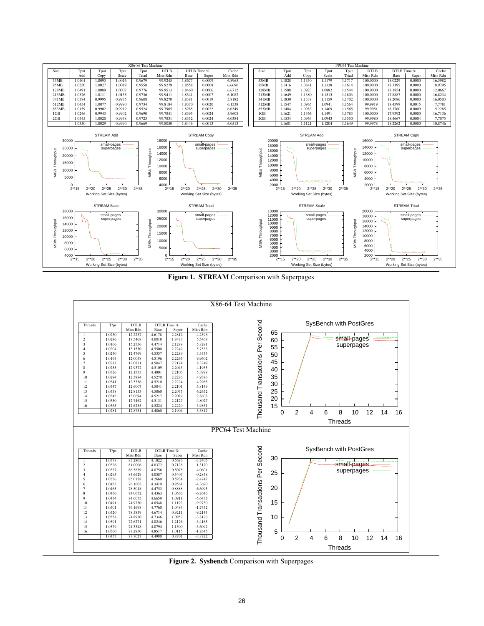

Figure 1. STREAM Comparison with Superpages



Figure 2. Sysbench Comparison with Superpages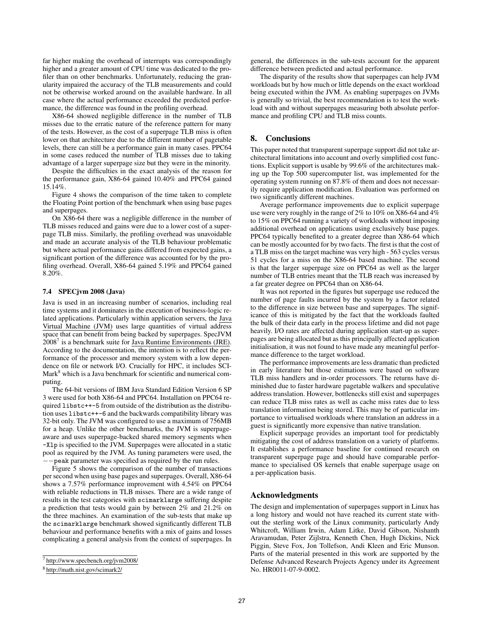far higher making the overhead of interrupts was correspondingly higher and a greater amount of CPU time was dedicated to the profiler than on other benchmarks. Unfortunately, reducing the granularity impaired the accuracy of the TLB measurements and could not be otherwise worked around on the available hardware. In all case where the actual performance exceeded the predicted performance, the difference was found in the profiling overhead.

X86-64 showed negligible difference in the number of TLB misses due to the erratic nature of the reference pattern for many of the tests. However, as the cost of a superpage TLB miss is often lower on that architecture due to the different number of pagetable levels, there can still be a performance gain in many cases. PPC64 in some cases reduced the number of TLB misses due to taking advantage of a larger superpage size but they were in the minority.

Despite the difficulties in the exact analysis of the reason for the performance gain, X86-64 gained 10.40% and PPC64 gained 15.14%.

Figure 4 shows the comparison of the time taken to complete the Floating Point portion of the benchmark when using base pages and superpages.

On X86-64 there was a negligible difference in the number of TLB misses reduced and gains were due to a lower cost of a superpage TLB miss. Similarly, the profiling overhead was unavoidable and made an accurate analysis of the TLB behaviour problematic but where actual performance gains differed from expected gains, a significant portion of the difference was accounted for by the profiling overhead. Overall, X86-64 gained 5.19% and PPC64 gained 8.20%.

#### 7.4 SPECjvm 2008 (Java)

Java is used in an increasing number of scenarios, including real time systems and it dominates in the execution of business-logic related applications. Particularly within application servers, the Java Virtual Machine (JVM) uses large quantities of virtual address space that can benefit from being backed by superpages. SpecJVM  $2008<sup>7</sup>$  is a benchmark suite for Java Runtime Environments (JRE). According to the documentation, the intention is to reflect the performance of the processor and memory system with a low dependence on file or network I/O. Crucially for HPC, it includes SCI-Mark<sup>8</sup> which is a Java benchmark for scientific and numerical computing.

The 64-bit versions of IBM Java Standard Edition Version 6 SP 3 were used for both X86-64 and PPC64. Installation on PPC64 required libstc++-5 from outside of the distribution as the distribution uses libstc++-6 and the backwards compatibility library was 32-bit only. The JVM was configured to use a maximum of 756MB for a heap. Unlike the other benchmarks, the JVM is superpageaware and uses superpage-backed shared memory segments when -Xlp is specified to the JVM. Superpages were allocated in a static pool as required by the JVM. As tuning parameters were used, the −−peak parameter was specified as required by the run rules.

Figure 5 shows the comparison of the number of transactions per second when using base pages and superpages. Overall, X86-64 shows a 7.57% performance improvement with 4.54% on PPC64 with reliable reductions in TLB misses. There are a wide range of results in the test categories with scimarklarge suffering despite a prediction that tests would gain by between 2% and 21.2% on the three machines. An examination of the sub-tests that make up the scimarklarge benchmark showed significantly different TLB behaviour and performance benefits with a mix of gains and losses complicating a general analysis from the context of superpages. In general, the differences in the sub-tests account for the apparent difference between predicted and actual performance.

The disparity of the results show that superpages can help JVM workloads but by how much or little depends on the exact workload being executed within the JVM. As enabling superpages on JVMs is generally so trivial, the best recommendation is to test the workload with and without superpages measuring both absolute performance and profiling CPU and TLB miss counts.

# 8. Conclusions

This paper noted that transparent superpage support did not take architectural limitations into account and overly simplified cost functions. Explicit support is usable by 99.6% of the architectures making up the Top 500 supercomputer list, was implemented for the operating system running on 87.8% of them and does not necessarily require application modification. Evaluation was performed on two significantly different machines.

Average performance improvements due to explicit superpage use were very roughly in the range of 2% to 10% on X86-64 and 4% to 15% on PPC64 running a variety of workloads without imposing additional overhead on applications using exclusively base pages. PPC64 typically benefited to a greater degree than X86-64 which can be mostly accounted for by two facts. The first is that the cost of a TLB miss on the target machine was very high - 563 cycles versus 51 cycles for a miss on the X86-64 based machine. The second is that the larger superpage size on PPC64 as well as the larger number of TLB entries meant that the TLB reach was increased by a far greater degree on PPC64 than on X86-64.

It was not reported in the figures but superpage use reduced the number of page faults incurred by the system by a factor related to the difference in size between base and superpages. The significance of this is mitigated by the fact that the workloads faulted the bulk of their data early in the process lifetime and did not page heavily. I/O rates are affected during application start-up as superpages are being allocated but as this principally affected application initialisation, it was not found to have made any meaningful performance difference to the target workload.

The performance improvements are less dramatic than predicted in early literature but those estimations were based on software TLB miss handlers and in-order processors. The returns have diminished due to faster hardware pagetable walkers and speculative address translation. However, bottlenecks still exist and superpages can reduce TLB miss rates as well as cache miss rates due to less translation information being stored. This may be of particular importance to virtualised workloads where translation an address in a guest is significantly more expensive than native translation.

Explicit superpage provides an important tool for predictably mitigating the cost of address translation on a variety of platforms. It establishes a performance baseline for continued research on transparent superpage page and should have comparable performance to specialised OS kernels that enable superpage usage on a per-application basis.

# Acknowledgments

The design and implementation of superpages support in Linux has a long history and would not have reached its current state without the sterling work of the Linux community, particularly Andy Whitcroft, William Irwin, Adam Litke, David Gibson, Nishanth Aravamudan, Peter Zijlstra, Kenneth Chen, Hugh Dickins, Nick Piggin, Steve Fox, Jon Tollefson, Andi Kleen and Eric Munson. Parts of the material presented in this work are supported by the Defense Advanced Research Projects Agency under its Agreement No. HR0011-07-9-0002.

<sup>7</sup> http://www.specbench.org/jvm2008/

<sup>8</sup> http://math.nist.gov/scimark2/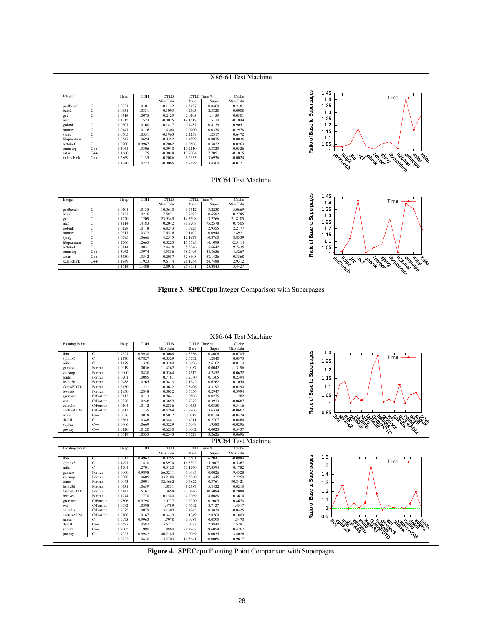

Figure 3. SPECcpu Integer Comparison with Superpages



Figure 4. SPECcpu Floating Point Comparison with Superpages